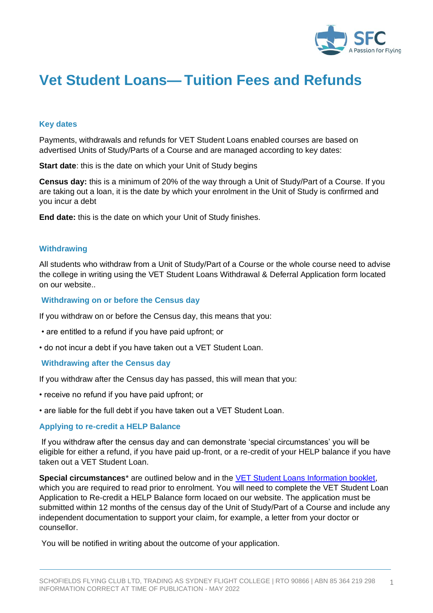

# **Vet Student Loans— Tuition Fees and Refunds**

## **Key dates**

Payments, withdrawals and refunds for VET Student Loans enabled courses are based on advertised Units of Study/Parts of a Course and are managed according to key dates:

**Start date**: this is the date on which your Unit of Study begins

**Census day:** this is a minimum of 20% of the way through a Unit of Study/Part of a Course. If you are taking out a loan, it is the date by which your enrolment in the Unit of Study is confirmed and you incur a debt

**End date:** this is the date on which your Unit of Study finishes.

#### **Withdrawing**

All students who withdraw from a Unit of Study/Part of a Course or the whole course need to advise the college in writing using the VET Student Loans Withdrawal & Deferral Application form located on our website..

#### **Withdrawing on or before the Census day**

If you withdraw on or before the Census day, this means that you:

- are entitled to a refund if you have paid upfront; or
- do not incur a debt if you have taken out a VET Student Loan.

#### **Withdrawing after the Census day**

If you withdraw after the Census day has passed, this will mean that you:

- receive no refund if you have paid upfront; or
- are liable for the full debt if you have taken out a VET Student Loan.

#### **Applying to re-credit a HELP Balance**

If you withdraw after the census day and can demonstrate 'special circumstances' you will be eligible for either a refund, if you have paid up-front, or a re-credit of your HELP balance if you have taken out a VET Student Loan.

**Special circumstances**<sup>\*</sup> are outlined below and in the **VET Student Loans Information booklet**, which you are required to read prior to enrolment. You will need to complete the VET Student Loan Application to Re-credit a HELP Balance form locaed on our website. The application must be submitted within 12 months of the census day of the Unit of Study/Part of a Course and include any independent documentation to support your claim, for example, a letter from your doctor or counsellor.

You will be notified in writing about the outcome of your application.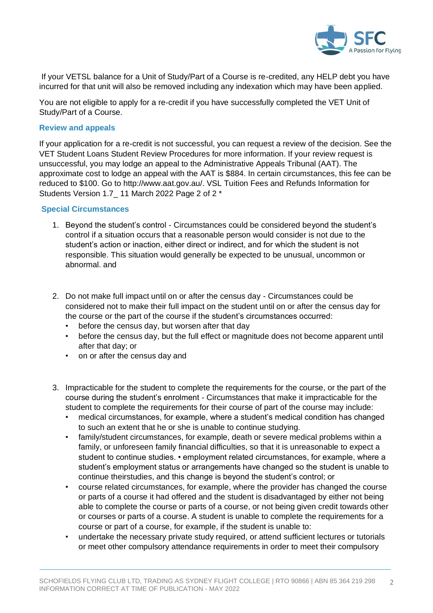

If your VETSL balance for a Unit of Study/Part of a Course is re-credited, any HELP debt you have incurred for that unit will also be removed including any indexation which may have been applied.

You are not eligible to apply for a re-credit if you have successfully completed the VET Unit of Study/Part of a Course.

## **Review and appeals**

If your application for a re-credit is not successful, you can request a review of the decision. See the VET Student Loans Student Review Procedures for more information. If your review request is unsuccessful, you may lodge an appeal to the Administrative Appeals Tribunal (AAT). The approximate cost to lodge an appeal with the AAT is \$884. In certain circumstances, this fee can be reduced to \$100. Go to http://www.aat.gov.au/. VSL Tuition Fees and Refunds Information for Students Version 1.7\_ 11 March 2022 Page 2 of 2 \*

## **Special Circumstances**

- 1. Beyond the student's control Circumstances could be considered beyond the student's control if a situation occurs that a reasonable person would consider is not due to the student's action or inaction, either direct or indirect, and for which the student is not responsible. This situation would generally be expected to be unusual, uncommon or abnormal. and
- 2. Do not make full impact until on or after the census day Circumstances could be considered not to make their full impact on the student until on or after the census day for the course or the part of the course if the student's circumstances occurred:
	- before the census day, but worsen after that day
	- before the census day, but the full effect or magnitude does not become apparent until after that day; or
	- on or after the census day and
- 3. Impracticable for the student to complete the requirements for the course, or the part of the course during the student's enrolment - Circumstances that make it impracticable for the student to complete the requirements for their course of part of the course may include:
	- medical circumstances, for example, where a student's medical condition has changed to such an extent that he or she is unable to continue studying.
	- family/student circumstances, for example, death or severe medical problems within a family, or unforeseen family financial difficulties, so that it is unreasonable to expect a student to continue studies. • employment related circumstances, for example, where a student's employment status or arrangements have changed so the student is unable to continue theirstudies, and this change is beyond the student's control; or
	- course related circumstances, for example, where the provider has changed the course or parts of a course it had offered and the student is disadvantaged by either not being able to complete the course or parts of a course, or not being given credit towards other or courses or parts of a course. A student is unable to complete the requirements for a course or part of a course, for example, if the student is unable to:
	- undertake the necessary private study required, or attend sufficient lectures or tutorials or meet other compulsory attendance requirements in order to meet their compulsory